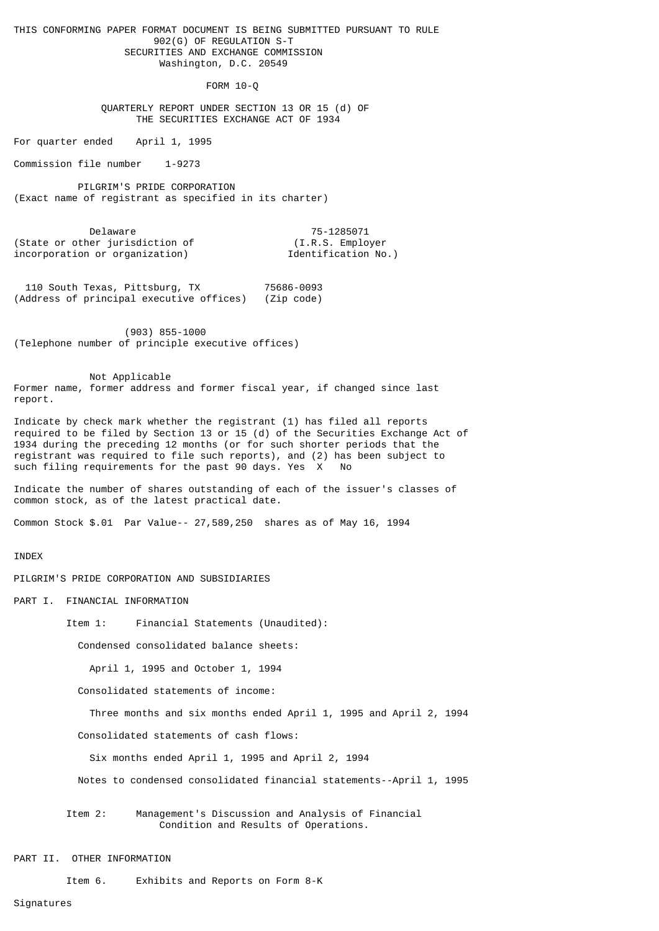THIS CONFORMING PAPER FORMAT DOCUMENT IS BEING SUBMITTED PURSUANT TO RULE 902(G) OF REGULATION S-T SECURITIES AND EXCHANGE COMMISSION Washington, D.C. 20549

FORM 10-Q

 QUARTERLY REPORT UNDER SECTION 13 OR 15 (d) OF THE SECURITIES EXCHANGE ACT OF 1934

For quarter ended April 1, 1995

Commission file number 1-9273

 PILGRIM'S PRIDE CORPORATION (Exact name of registrant as specified in its charter)

 Delaware 75-1285071 (State or other jurisdiction of (I.R.S. Employer incorporation or organization) Identification No.)

 110 South Texas, Pittsburg, TX 75686-0093 (Address of principal executive offices)

 (903) 855-1000 (Telephone number of principle executive offices)

 Not Applicable Former name, former address and former fiscal year, if changed since last report.

Indicate by check mark whether the registrant (1) has filed all reports required to be filed by Section 13 or 15 (d) of the Securities Exchange Act of 1934 during the preceding 12 months (or for such shorter periods that the registrant was required to file such reports), and (2) has been subject to such filing requirements for the past 90 days. Yes X No

Indicate the number of shares outstanding of each of the issuer's classes of common stock, as of the latest practical date.

Common Stock \$.01 Par Value-- 27,589,250 shares as of May 16, 1994

## INDEX

PILGRIM'S PRIDE CORPORATION AND SUBSIDIARIES

PART I. FINANCIAL INFORMATION

Item 1: Financial Statements (Unaudited):

Condensed consolidated balance sheets:

April 1, 1995 and October 1, 1994

Consolidated statements of income:

Three months and six months ended April 1, 1995 and April 2, 1994

Consolidated statements of cash flows:

Six months ended April 1, 1995 and April 2, 1994

Notes to condensed consolidated financial statements--April 1, 1995

 Item 2: Management's Discussion and Analysis of Financial Condition and Results of Operations.

#### PART II. OTHER INFORMATION

Item 6. Exhibits and Reports on Form 8-K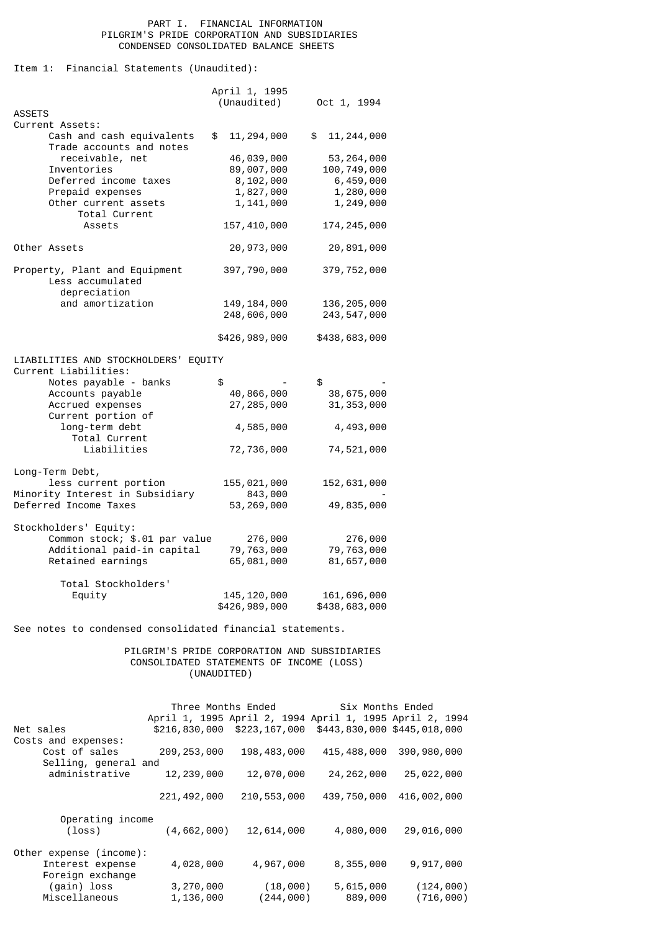## PART I. FINANCIAL INFORMATION PILGRIM'S PRIDE CORPORATION AND SUBSIDIARIES CONDENSED CONSOLIDATED BALANCE SHEETS

Item 1: Financial Statements (Unaudited):

|                                                                   | April 1, 1995                  |                              |
|-------------------------------------------------------------------|--------------------------------|------------------------------|
|                                                                   | (Unaudited)                    | Oct 1, 1994                  |
| <b>ASSETS</b>                                                     |                                |                              |
| Current Assets:                                                   |                                |                              |
| Cash and cash equivalents<br>Trade accounts and notes             | \$<br>11,294,000               | \$<br>11,244,000             |
| receivable, net                                                   | 46,039,000                     | 53, 264, 000                 |
| Inventories                                                       | 89,007,000                     | 100,749,000                  |
| Deferred income taxes                                             | 8,102,000                      | 6,459,000                    |
| Prepaid expenses                                                  | 1,827,000                      | 1,280,000                    |
| Other current assets<br>Total Current                             | 1,141,000                      | 1,249,000                    |
| Assets                                                            | 157,410,000                    | 174, 245, 000                |
| Other Assets                                                      | 20,973,000                     | 20,891,000                   |
| Property, Plant and Equipment<br>Less accumulated<br>depreciation | 397,790,000                    | 379, 752, 000                |
| and amortization                                                  | 149, 184, 000                  | 136, 205, 000                |
|                                                                   | 248,606,000                    | 243, 547, 000                |
|                                                                   |                                |                              |
|                                                                   | \$426,989,000                  | \$438,683,000                |
| LIABILITIES AND STOCKHOLDERS' EQUITY                              |                                |                              |
|                                                                   |                                |                              |
| Current Liabilities:                                              |                                |                              |
| Notes payable - banks                                             | \$                             | \$                           |
| Accounts payable                                                  | 40,866,000                     | 38,675,000                   |
| Accrued expenses<br>Current portion of                            | 27,285,000                     | 31, 353, 000                 |
| long-term debt                                                    | 4,585,000                      | 4,493,000                    |
| Total Current                                                     |                                |                              |
| Liabilities                                                       | 72,736,000                     | 74,521,000                   |
|                                                                   |                                |                              |
| Long-Term Debt,                                                   |                                |                              |
| less current portion                                              | 155,021,000                    | 152,631,000                  |
| Minority Interest in Subsidiary                                   | 843,000                        |                              |
| Deferred Income Taxes                                             | 53,269,000                     | 49,835,000                   |
| Stockholders' Equity:                                             |                                |                              |
| Common stock; \$.01 par value                                     | 276,000                        | 276,000                      |
| Additional paid-in capital                                        | 79,763,000                     | 79,763,000                   |
| Retained earnings                                                 | 65,081,000                     | 81,657,000                   |
|                                                                   |                                |                              |
| Total Stockholders'                                               |                                |                              |
| Equity                                                            | 145, 120, 000<br>\$426,989,000 | 161,696,000<br>\$438,683,000 |

See notes to condensed consolidated financial statements.

 PILGRIM'S PRIDE CORPORATION AND SUBSIDIARIES CONSOLIDATED STATEMENTS OF INCOME (LOSS) (UNAUDITED)

|                                                                 | Three Months Ended                                      |                       | Six Months Ended            |                         |
|-----------------------------------------------------------------|---------------------------------------------------------|-----------------------|-----------------------------|-------------------------|
|                                                                 | April 1, 1995 April 2, 1994 April 1, 1995 April 2, 1994 |                       |                             |                         |
| Net sales                                                       | \$216,830,000 \$223,167,000                             |                       | \$443,830,000 \$445,018,000 |                         |
| Costs and expenses:<br>Cost of sales<br>Selling, general and    | 209, 253, 000                                           | 198,483,000           | 415,488,000                 | 390,980,000             |
| administrative                                                  | 12,239,000                                              | 12,070,000            | 24, 262, 000                | 25,022,000              |
|                                                                 | 221, 492, 000                                           | 210,553,000           | 439,750,000                 | 416,002,000             |
| Operating income<br>$(\text{loss})$                             | (4, 662, 000)                                           | 12,614,000            | 4,080,000                   | 29,016,000              |
| Other expense (income):<br>Interest expense<br>Foreign exchange | 4,028,000                                               | 4,967,000             | 8,355,000                   | 9,917,000               |
| (gain) loss<br>Miscellaneous                                    | 3,270,000<br>1,136,000                                  | (18,000)<br>(244,000) | 5,615,000<br>889,000        | (124, 000)<br>(716,000) |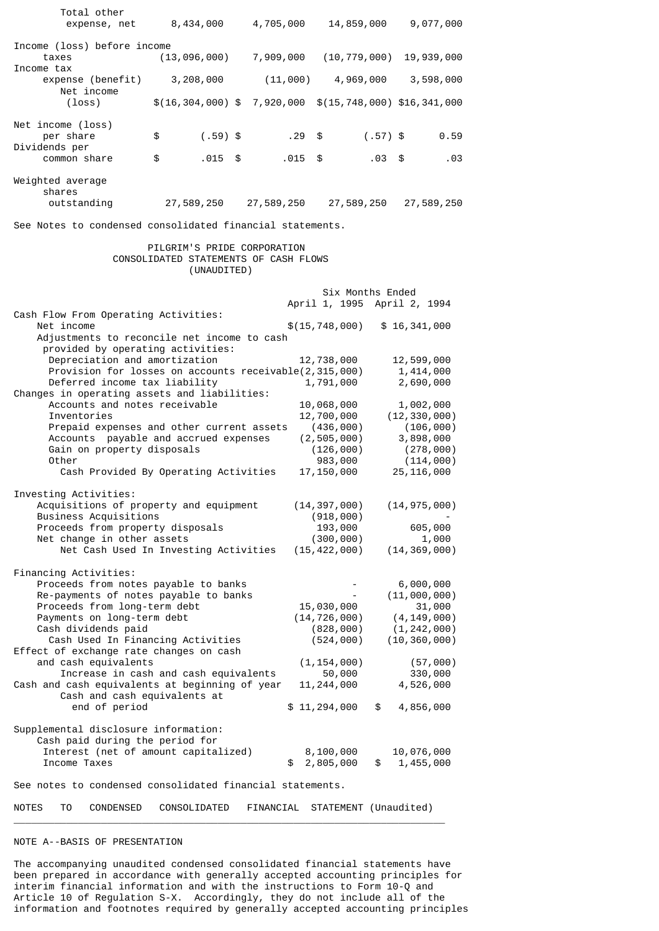| Total other<br>expense, net                                                                                                                                                                                                                                                 | 8,434,000                                                                           | 4,705,000  | 14,859,000                                                                                    |            | 9,077,000                                                                                          |      |
|-----------------------------------------------------------------------------------------------------------------------------------------------------------------------------------------------------------------------------------------------------------------------------|-------------------------------------------------------------------------------------|------------|-----------------------------------------------------------------------------------------------|------------|----------------------------------------------------------------------------------------------------|------|
| Income (loss) before income<br>taxes                                                                                                                                                                                                                                        | (13, 096, 000)                                                                      | 7,909,000  | (10, 779, 000)                                                                                |            | 19,939,000                                                                                         |      |
| Income tax<br>expense (benefit)                                                                                                                                                                                                                                             | 3,208,000                                                                           | (11,000)   | 4,969,000                                                                                     |            | 3,598,000                                                                                          |      |
| Net income<br>$(\texttt{loss})$                                                                                                                                                                                                                                             | $$(16, 304, 000)$ \$                                                                | 7,920,000  | \$(15, 748, 000) \$16, 341, 000                                                               |            |                                                                                                    |      |
| Net income (loss)<br>per share                                                                                                                                                                                                                                              | \$<br>$(.59)$ \$                                                                    | . 29       | \$                                                                                            | $(.57)$ \$ |                                                                                                    | 0.59 |
| Dividends per<br>common share                                                                                                                                                                                                                                               | \$<br>.015                                                                          | \$<br>.015 | \$                                                                                            | .03        | - \$                                                                                               | .03  |
| Weighted average<br>shares<br>outstanding                                                                                                                                                                                                                                   | 27,589,250                                                                          | 27,589,250 | 27,589,250                                                                                    |            | 27,589,250                                                                                         |      |
| See Notes to condensed consolidated financial statements.                                                                                                                                                                                                                   |                                                                                     |            |                                                                                               |            |                                                                                                    |      |
|                                                                                                                                                                                                                                                                             | PILGRIM'S PRIDE CORPORATION<br>CONSOLIDATED STATEMENTS OF CASH FLOWS<br>(UNAUDITED) |            |                                                                                               |            |                                                                                                    |      |
|                                                                                                                                                                                                                                                                             |                                                                                     |            | Six Months Ended<br>April 1, 1995 April 2, 1994                                               |            |                                                                                                    |      |
| Cash Flow From Operating Activities:<br>Net income<br>Adjustments to reconcile net income to cash                                                                                                                                                                           |                                                                                     |            | \$(15, 748, 000)                                                                              |            | \$16,341,000                                                                                       |      |
| provided by operating activities:<br>Depreciation and amortization<br>Provision for losses on accounts receivable(2,315,000)<br>Deferred income tax liability<br>Changes in operating assets and liabilities:                                                               |                                                                                     |            | 12,738,000<br>1,791,000                                                                       |            | 12,599,000<br>1,414,000<br>2,690,000                                                               |      |
| Accounts and notes receivable<br>Inventories<br>Prepaid expenses and other current assets<br>Accounts payable and accrued expenses<br>Gain on property disposals<br>Other<br>Cash Provided By Operating Activities                                                          |                                                                                     |            | 10,068,000<br>12,700,000<br>(436,000)<br>(2, 505, 000)<br>(126, 000)<br>983,000<br>17,150,000 |            | 1,002,000<br>(12, 330, 000)<br>(106, 000)<br>3,898,000<br>(278, 000)<br>(114, 000)<br>25, 116, 000 |      |
| Investing Activities:<br>Acquisitions of property and equipment<br>Business Acquisitions<br>Proceeds from property disposals<br>Net change in other assets<br>Net Cash Used In Investing Activities                                                                         |                                                                                     |            | (14, 397, 000)<br>(918,000)<br>193,000<br>(300, 000)<br>(15, 422, 000)                        |            | (14, 975, 000)<br>605,000<br>1,000<br>(14, 369, 000)                                               |      |
| Financing Activities:<br>Proceeds from notes payable to banks<br>Re-payments of notes payable to banks<br>Proceeds from long-term debt<br>Payments on long-term debt<br>Cash dividends paid<br>Cash Used In Financing Activities<br>Effect of exchange rate changes on cash |                                                                                     |            | 15,030,000<br>(14, 726, 000)<br>(828, 000)<br>(524, 000)                                      |            | 6,000,000<br>(11,000,000)<br>31,000<br>(4, 149, 000)<br>(1, 242, 000)<br>(10, 360, 000)            |      |
| and cash equivalents<br>Increase in cash and cash equivalents<br>Cash and cash equivalents at beginning of year<br>Cash and cash equivalents at<br>end of period                                                                                                            |                                                                                     |            | (1, 154, 000)<br>50,000<br>11, 244, 000<br>\$11,294,000                                       | \$         | (57,000)<br>330,000<br>4,526,000<br>4,856,000                                                      |      |
| Supplemental disclosure information:<br>Cash paid during the period for<br>Interest (net of amount capitalized)<br>Income Taxes                                                                                                                                             |                                                                                     | \$         | 8,100,000<br>2,805,000                                                                        | \$         | 10,076,000<br>1,455,000                                                                            |      |
| See notes to condensed consolidated financial statements.                                                                                                                                                                                                                   |                                                                                     |            |                                                                                               |            |                                                                                                    |      |

NOTES TO CONDENSED CONSOLIDATED FINANCIAL STATEMENT (Unaudited) \_\_\_\_\_\_\_\_\_\_\_\_\_\_\_\_\_\_\_\_\_\_\_\_\_\_\_\_\_\_\_\_\_\_\_\_\_\_\_\_\_\_\_\_\_\_\_\_\_\_\_\_\_\_\_\_\_\_\_\_\_\_\_\_\_\_\_\_\_\_\_\_\_\_

# NOTE A--BASIS OF PRESENTATION

The accompanying unaudited condensed consolidated financial statements have been prepared in accordance with generally accepted accounting principles for interim financial information and with the instructions to Form 10-Q and Article 10 of Regulation S-X. Accordingly, they do not include all of the information and footnotes required by generally accepted accounting principles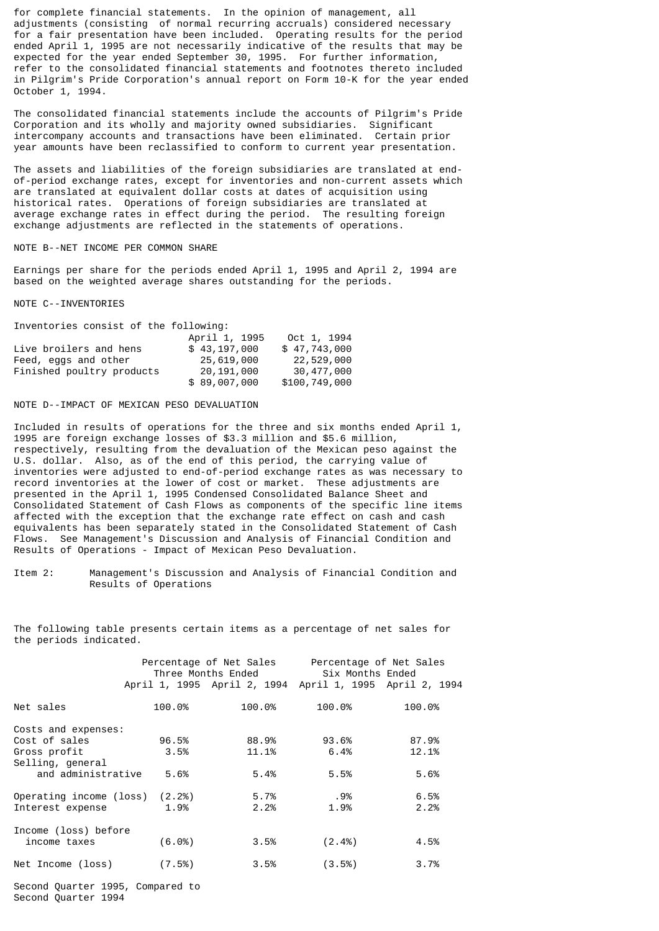for complete financial statements. In the opinion of management, all adjustments (consisting of normal recurring accruals) considered necessary for a fair presentation have been included. Operating results for the period ended April 1, 1995 are not necessarily indicative of the results that may be expected for the year ended September 30, 1995. For further information, refer to the consolidated financial statements and footnotes thereto included in Pilgrim's Pride Corporation's annual report on Form 10-K for the year ended October 1, 1994.

The consolidated financial statements include the accounts of Pilgrim's Pride Corporation and its wholly and majority owned subsidiaries. Significant intercompany accounts and transactions have been eliminated. Certain prior year amounts have been reclassified to conform to current year presentation.

The assets and liabilities of the foreign subsidiaries are translated at endof-period exchange rates, except for inventories and non-current assets which are translated at equivalent dollar costs at dates of acquisition using historical rates. Operations of foreign subsidiaries are translated at average exchange rates in effect during the period. The resulting foreign exchange adjustments are reflected in the statements of operations.

### NOTE B--NET INCOME PER COMMON SHARE

Earnings per share for the periods ended April 1, 1995 and April 2, 1994 are based on the weighted average shares outstanding for the periods.

## NOTE C--INVENTORIES

Inventories consist of the following:

|                           | April 1, 1995 | Oct 1, 1994   |
|---------------------------|---------------|---------------|
| Live broilers and hens    | \$43.197.000  | \$47,743,000  |
| Feed, eggs and other      | 25,619,000    | 22,529,000    |
| Finished poultry products | 20,191,000    | 30,477,000    |
|                           | \$89,007,000  | \$100,749,000 |

# NOTE D--IMPACT OF MEXICAN PESO DEVALUATION

Included in results of operations for the three and six months ended April 1, 1995 are foreign exchange losses of \$3.3 million and \$5.6 million, respectively, resulting from the devaluation of the Mexican peso against the U.S. dollar. Also, as of the end of this period, the carrying value of inventories were adjusted to end-of-period exchange rates as was necessary to record inventories at the lower of cost or market. These adjustments are presented in the April 1, 1995 Condensed Consolidated Balance Sheet and Consolidated Statement of Cash Flows as components of the specific line items affected with the exception that the exchange rate effect on cash and cash equivalents has been separately stated in the Consolidated Statement of Cash Flows. See Management's Discussion and Analysis of Financial Condition and Results of Operations - Impact of Mexican Peso Devaluation.

Item 2: Management's Discussion and Analysis of Financial Condition and Results of Operations

The following table presents certain items as a percentage of net sales for the periods indicated.

|                         | Percentage of Net Sales<br>Three Months Ended |        | Percentage of Net Sales<br>Six Months Ended<br>April 1, 1995 April 2, 1994 April 1, 1995 April 2, 1994 |        |  |
|-------------------------|-----------------------------------------------|--------|--------------------------------------------------------------------------------------------------------|--------|--|
|                         |                                               |        |                                                                                                        |        |  |
| Net sales               | 100.0%                                        | 100.0% | 100.0%                                                                                                 | 100.0% |  |
| Costs and expenses:     |                                               |        |                                                                                                        |        |  |
| Cost of sales           | 96.5%                                         | 88.9%  | 93.6%                                                                                                  | 87.9%  |  |
| Gross profit            | 3.5%                                          | 11.1%  | 6.4%                                                                                                   | 12.1%  |  |
| Selling, general        |                                               |        |                                                                                                        |        |  |
| and administrative      | 5.6%                                          | 5.4%   | 5.5%                                                                                                   | 5.6%   |  |
| Operating income (loss) | (2.2%)                                        | 5.7%   | .9%                                                                                                    | 6.5%   |  |
| Interest expense        | 1.9%                                          | 2.2%   | 1.9%                                                                                                   | 2.2%   |  |
| Income (loss) before    |                                               |        |                                                                                                        |        |  |
| income taxes            | (6.0%                                         | 3.5%   | $(2.4\%)$                                                                                              | 4.5%   |  |
| Net Income (loss)       | (7.5%)                                        | 3.5%   | (3.5%)                                                                                                 | 3.7%   |  |

Second Quarter 1995, Compared to Second Quarter 1994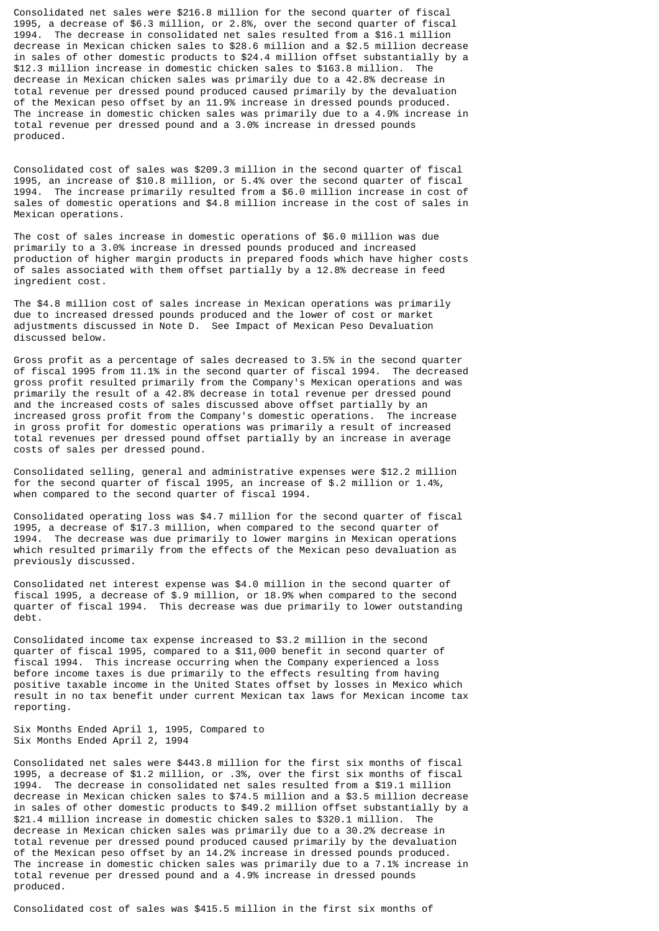Consolidated net sales were \$216.8 million for the second quarter of fiscal 1995, a decrease of \$6.3 million, or 2.8%, over the second quarter of fiscal 1994. The decrease in consolidated net sales resulted from a \$16.1 million decrease in Mexican chicken sales to \$28.6 million and a \$2.5 million decrease in sales of other domestic products to \$24.4 million offset substantially by a \$12.3 million increase in domestic chicken sales to \$163.8 million. The decrease in Mexican chicken sales was primarily due to a 42.8% decrease in total revenue per dressed pound produced caused primarily by the devaluation of the Mexican peso offset by an 11.9% increase in dressed pounds produced. The increase in domestic chicken sales was primarily due to a 4.9% increase in total revenue per dressed pound and a 3.0% increase in dressed pounds produced.

Consolidated cost of sales was \$209.3 million in the second quarter of fiscal 1995, an increase of \$10.8 million, or 5.4% over the second quarter of fiscal 1994. The increase primarily resulted from a \$6.0 million increase in cost of sales of domestic operations and \$4.8 million increase in the cost of sales in Mexican operations.

The cost of sales increase in domestic operations of \$6.0 million was due primarily to a 3.0% increase in dressed pounds produced and increased production of higher margin products in prepared foods which have higher costs of sales associated with them offset partially by a 12.8% decrease in feed ingredient cost.

The \$4.8 million cost of sales increase in Mexican operations was primarily due to increased dressed pounds produced and the lower of cost or market adjustments discussed in Note D. See Impact of Mexican Peso Devaluation discussed below.

Gross profit as a percentage of sales decreased to 3.5% in the second quarter of fiscal 1995 from 11.1% in the second quarter of fiscal 1994. The decreased gross profit resulted primarily from the Company's Mexican operations and was primarily the result of a 42.8% decrease in total revenue per dressed pound and the increased costs of sales discussed above offset partially by an increased gross profit from the Company's domestic operations. The increase in gross profit for domestic operations was primarily a result of increased total revenues per dressed pound offset partially by an increase in average costs of sales per dressed pound.

Consolidated selling, general and administrative expenses were \$12.2 million for the second quarter of fiscal 1995, an increase of \$.2 million or 1.4%, when compared to the second quarter of fiscal 1994.

Consolidated operating loss was \$4.7 million for the second quarter of fiscal 1995, a decrease of \$17.3 million, when compared to the second quarter of 1994. The decrease was due primarily to lower margins in Mexican operations which resulted primarily from the effects of the Mexican peso devaluation as previously discussed.

Consolidated net interest expense was \$4.0 million in the second quarter of fiscal 1995, a decrease of \$.9 million, or 18.9% when compared to the second quarter of fiscal 1994. This decrease was due primarily to lower outstanding debt.

Consolidated income tax expense increased to \$3.2 million in the second quarter of fiscal 1995, compared to a \$11,000 benefit in second quarter of fiscal 1994. This increase occurring when the Company experienced a loss before income taxes is due primarily to the effects resulting from having positive taxable income in the United States offset by losses in Mexico which result in no tax benefit under current Mexican tax laws for Mexican income tax reporting.

Six Months Ended April 1, 1995, Compared to Six Months Ended April 2, 1994

Consolidated net sales were \$443.8 million for the first six months of fiscal 1995, a decrease of \$1.2 million, or .3%, over the first six months of fiscal 1994. The decrease in consolidated net sales resulted from a \$19.1 million decrease in Mexican chicken sales to \$74.5 million and a \$3.5 million decrease in sales of other domestic products to \$49.2 million offset substantially by a \$21.4 million increase in domestic chicken sales to \$320.1 million. The decrease in Mexican chicken sales was primarily due to a 30.2% decrease in total revenue per dressed pound produced caused primarily by the devaluation of the Mexican peso offset by an 14.2% increase in dressed pounds produced. The increase in domestic chicken sales was primarily due to a 7.1% increase in total revenue per dressed pound and a 4.9% increase in dressed pounds produced.

Consolidated cost of sales was \$415.5 million in the first six months of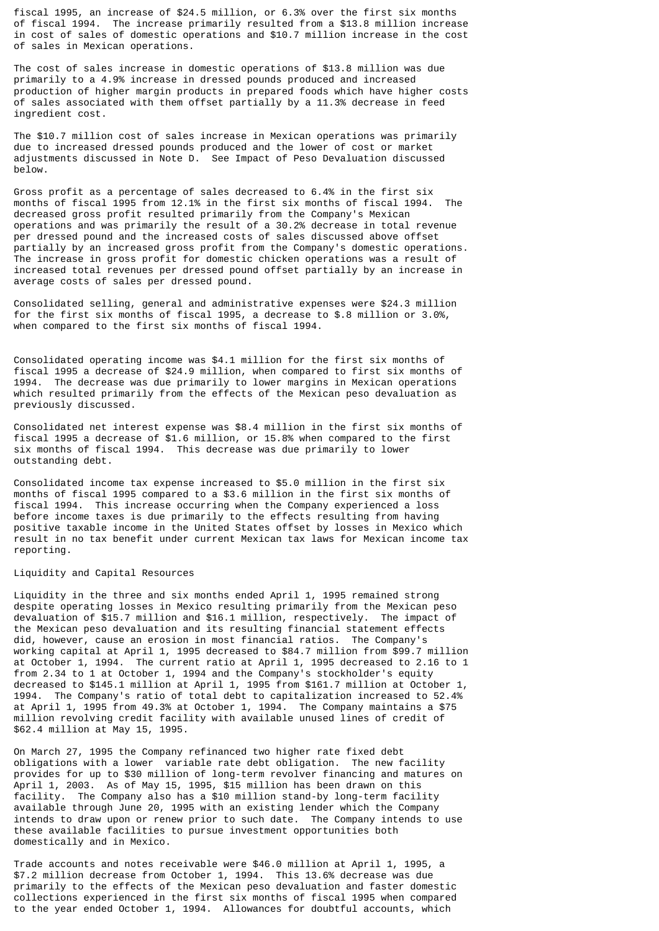fiscal 1995, an increase of \$24.5 million, or 6.3% over the first six months of fiscal 1994. The increase primarily resulted from a \$13.8 million increase in cost of sales of domestic operations and \$10.7 million increase in the cost of sales in Mexican operations.

The cost of sales increase in domestic operations of \$13.8 million was due primarily to a 4.9% increase in dressed pounds produced and increased production of higher margin products in prepared foods which have higher costs of sales associated with them offset partially by a 11.3% decrease in feed ingredient cost.

The \$10.7 million cost of sales increase in Mexican operations was primarily due to increased dressed pounds produced and the lower of cost or market adjustments discussed in Note D. See Impact of Peso Devaluation discussed below.

Gross profit as a percentage of sales decreased to 6.4% in the first six months of fiscal 1995 from 12.1% in the first six months of fiscal 1994. The decreased gross profit resulted primarily from the Company's Mexican operations and was primarily the result of a 30.2% decrease in total revenue per dressed pound and the increased costs of sales discussed above offset partially by an increased gross profit from the Company's domestic operations. The increase in gross profit for domestic chicken operations was a result of increased total revenues per dressed pound offset partially by an increase in average costs of sales per dressed pound.

Consolidated selling, general and administrative expenses were \$24.3 million for the first six months of fiscal 1995, a decrease to \$.8 million or 3.0%, when compared to the first six months of fiscal 1994.

Consolidated operating income was \$4.1 million for the first six months of fiscal 1995 a decrease of \$24.9 million, when compared to first six months of 1994. The decrease was due primarily to lower margins in Mexican operations which resulted primarily from the effects of the Mexican peso devaluation as previously discussed.

Consolidated net interest expense was \$8.4 million in the first six months of fiscal 1995 a decrease of \$1.6 million, or 15.8% when compared to the first six months of fiscal 1994. This decrease was due primarily to lower outstanding debt.

Consolidated income tax expense increased to \$5.0 million in the first six months of fiscal 1995 compared to a \$3.6 million in the first six months of fiscal 1994. This increase occurring when the Company experienced a loss before income taxes is due primarily to the effects resulting from having positive taxable income in the United States offset by losses in Mexico which result in no tax benefit under current Mexican tax laws for Mexican income tax reporting.

## Liquidity and Capital Resources

Liquidity in the three and six months ended April 1, 1995 remained strong despite operating losses in Mexico resulting primarily from the Mexican peso devaluation of \$15.7 million and \$16.1 million, respectively. The impact of the Mexican peso devaluation and its resulting financial statement effects did, however, cause an erosion in most financial ratios. The Company's working capital at April 1, 1995 decreased to \$84.7 million from \$99.7 million at October 1, 1994. The current ratio at April 1, 1995 decreased to 2.16 to 1 from 2.34 to 1 at October 1, 1994 and the Company's stockholder's equity decreased to \$145.1 million at April 1, 1995 from \$161.7 million at October 1, 1994. The Company's ratio of total debt to capitalization increased to 52.4% at April 1, 1995 from 49.3% at October 1, 1994. The Company maintains a \$75 million revolving credit facility with available unused lines of credit of \$62.4 million at May 15, 1995.

On March 27, 1995 the Company refinanced two higher rate fixed debt obligations with a lower variable rate debt obligation. The new facility provides for up to \$30 million of long-term revolver financing and matures on April 1, 2003. As of May 15, 1995, \$15 million has been drawn on this facility. The Company also has a \$10 million stand-by long-term facility available through June 20, 1995 with an existing lender which the Company intends to draw upon or renew prior to such date. The Company intends to use these available facilities to pursue investment opportunities both domestically and in Mexico.

Trade accounts and notes receivable were \$46.0 million at April 1, 1995, a \$7.2 million decrease from October 1, 1994. This 13.6% decrease was due primarily to the effects of the Mexican peso devaluation and faster domestic collections experienced in the first six months of fiscal 1995 when compared to the year ended October 1, 1994. Allowances for doubtful accounts, which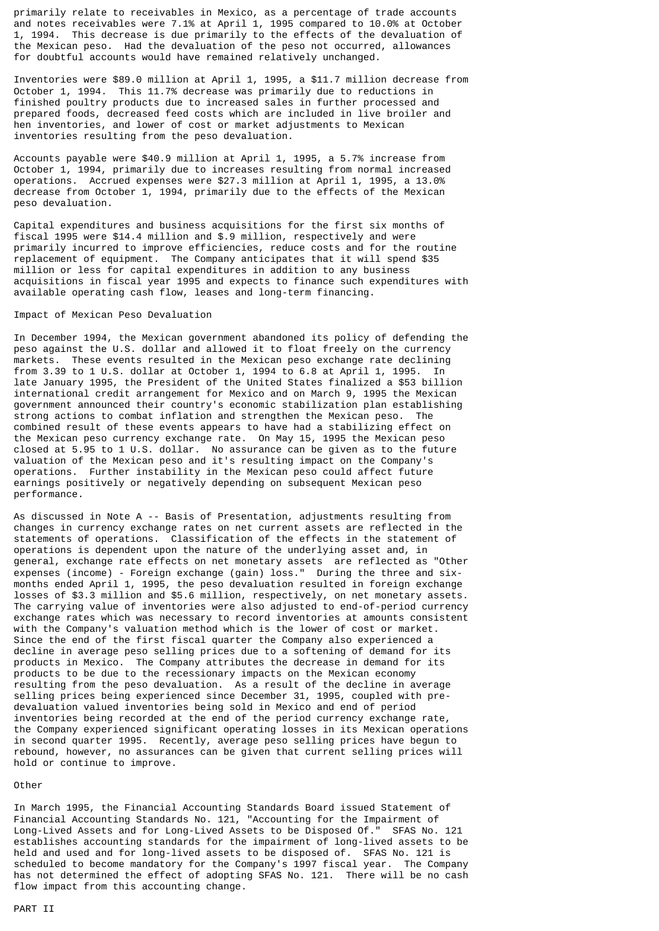primarily relate to receivables in Mexico, as a percentage of trade accounts and notes receivables were 7.1% at April 1, 1995 compared to 10.0% at October 1, 1994. This decrease is due primarily to the effects of the devaluation of the Mexican peso. Had the devaluation of the peso not occurred, allowances for doubtful accounts would have remained relatively unchanged.

Inventories were \$89.0 million at April 1, 1995, a \$11.7 million decrease from October 1, 1994. This 11.7% decrease was primarily due to reductions in finished poultry products due to increased sales in further processed and prepared foods, decreased feed costs which are included in live broiler and hen inventories, and lower of cost or market adjustments to Mexican inventories resulting from the peso devaluation.

Accounts payable were \$40.9 million at April 1, 1995, a 5.7% increase from October 1, 1994, primarily due to increases resulting from normal increased operations. Accrued expenses were \$27.3 million at April 1, 1995, a 13.0% decrease from October 1, 1994, primarily due to the effects of the Mexican peso devaluation.

Capital expenditures and business acquisitions for the first six months of fiscal 1995 were \$14.4 million and \$.9 million, respectively and were primarily incurred to improve efficiencies, reduce costs and for the routine replacement of equipment. The Company anticipates that it will spend \$35 million or less for capital expenditures in addition to any business acquisitions in fiscal year 1995 and expects to finance such expenditures with available operating cash flow, leases and long-term financing.

### Impact of Mexican Peso Devaluation

In December 1994, the Mexican government abandoned its policy of defending the peso against the U.S. dollar and allowed it to float freely on the currency markets. These events resulted in the Mexican peso exchange rate declining from 3.39 to 1 U.S. dollar at October 1, 1994 to 6.8 at April 1, 1995. In late January 1995, the President of the United States finalized a \$53 billion international credit arrangement for Mexico and on March 9, 1995 the Mexican government announced their country's economic stabilization plan establishing strong actions to combat inflation and strengthen the Mexican peso. The combined result of these events appears to have had a stabilizing effect on the Mexican peso currency exchange rate. On May 15, 1995 the Mexican peso closed at 5.95 to 1 U.S. dollar. No assurance can be given as to the future valuation of the Mexican peso and it's resulting impact on the Company's operations. Further instability in the Mexican peso could affect future earnings positively or negatively depending on subsequent Mexican peso performance.

As discussed in Note A -- Basis of Presentation, adjustments resulting from changes in currency exchange rates on net current assets are reflected in the statements of operations. Classification of the effects in the statement of operations is dependent upon the nature of the underlying asset and, in general, exchange rate effects on net monetary assets are reflected as "Other expenses (income) - Foreign exchange (gain) loss." During the three and sixmonths ended April 1, 1995, the peso devaluation resulted in foreign exchange losses of \$3.3 million and \$5.6 million, respectively, on net monetary assets. The carrying value of inventories were also adjusted to end-of-period currency exchange rates which was necessary to record inventories at amounts consistent with the Company's valuation method which is the lower of cost or market. Since the end of the first fiscal quarter the Company also experienced a decline in average peso selling prices due to a softening of demand for its products in Mexico. The Company attributes the decrease in demand for its products to be due to the recessionary impacts on the Mexican economy resulting from the peso devaluation. As a result of the decline in average selling prices being experienced since December 31, 1995, coupled with predevaluation valued inventories being sold in Mexico and end of period inventories being recorded at the end of the period currency exchange rate, the Company experienced significant operating losses in its Mexican operations in second quarter 1995. Recently, average peso selling prices have begun to rebound, however, no assurances can be given that current selling prices will hold or continue to improve.

### Other

In March 1995, the Financial Accounting Standards Board issued Statement of Financial Accounting Standards No. 121, "Accounting for the Impairment of Long-Lived Assets and for Long-Lived Assets to be Disposed Of." SFAS No. 121 establishes accounting standards for the impairment of long-lived assets to be held and used and for long-lived assets to be disposed of. SFAS No. 121 is scheduled to become mandatory for the Company's 1997 fiscal year. The Company has not determined the effect of adopting SFAS No. 121. There will be no cash flow impact from this accounting change.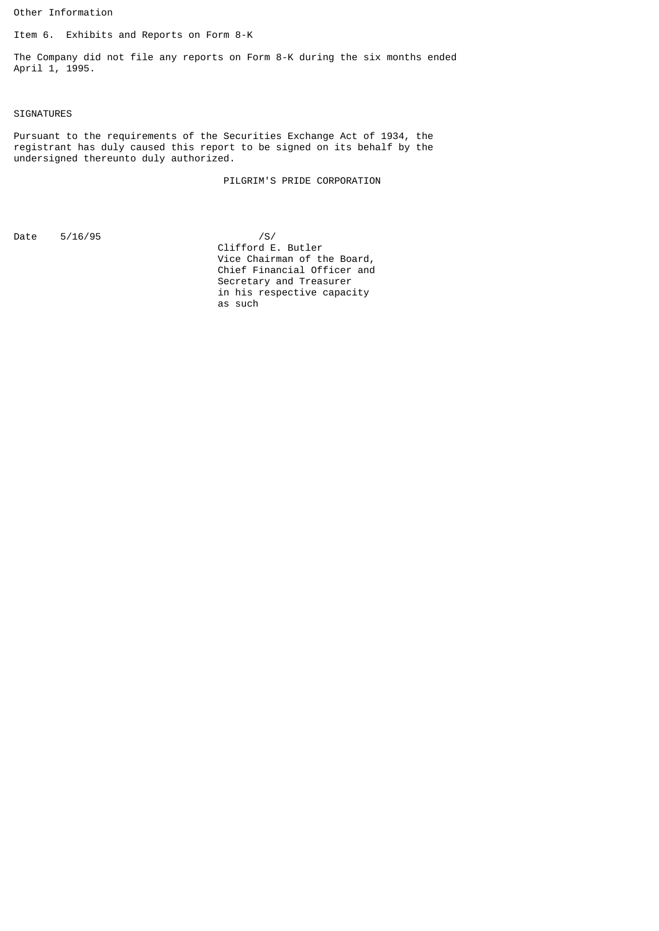Other Information

Item 6. Exhibits and Reports on Form 8-K

The Company did not file any reports on Form 8-K during the six months ended April 1, 1995.

# SIGNATURES

Pursuant to the requirements of the Securities Exchange Act of 1934, the registrant has duly caused this report to be signed on its behalf by the undersigned thereunto duly authorized.

PILGRIM'S PRIDE CORPORATION

Date 5/16/95 /S/

 Clifford E. Butler Vice Chairman of the Board, Chief Financial Officer and Secretary and Treasurer in his respective capacity as such